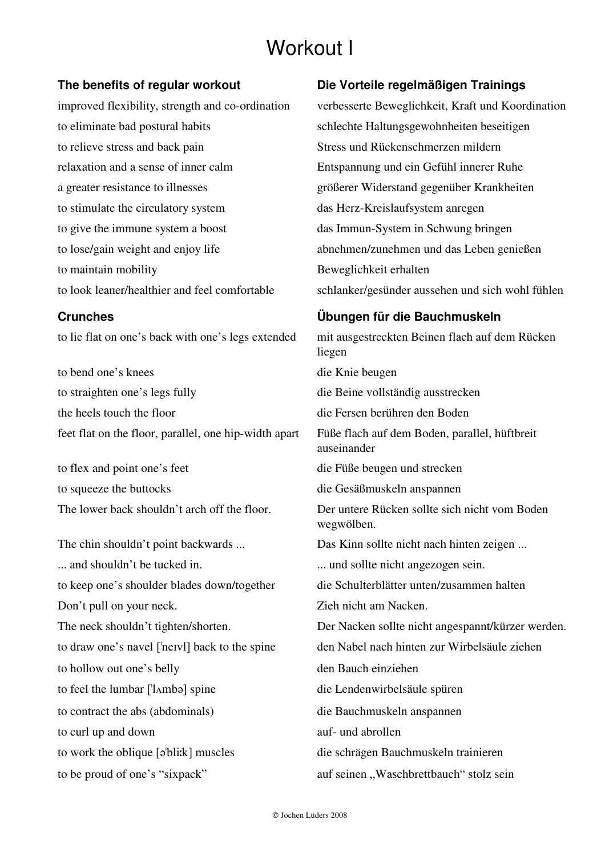# Workout I

to eliminate bad postural habits schlechte Haltungsgewohnheiten beseitigen to relieve stress and back pain Stress und Rückenschmerzen mildern relaxation and a sense of inner calm Entspannung und ein Gefühl innerer Ruhe a greater resistance to illnesses größerer Widerstand gegenüber Krankheiten to stimulate the circulatory system das Herz-Kreislaufsystem anregen to give the immune system a boost das Immun-System in Schwung bringen to lose/gain weight and enjoy life abnehmen/zunehmen und das Leben genießen to maintain mobility Beweglichkeit erhalten

to bend one's knees die Knie beugen to straighten one's legs fully die Beine vollständig ausstrecken the heels touch the floor die Fersen berühren den Boden feet flat on the floor, parallel, one hip-width apart Füße flach auf dem Boden, parallel, hüftbreit

to flex and point one's feet die Füße beugen und strecken to squeeze the buttocks die Gesäßmuskeln anspannen

The chin shouldn't point backwards ... Das Kinn sollte nicht nach hinten zeigen ... ... and shouldn't be tucked in. ... und sollte nicht angezogen sein. to keep one's shoulder blades down/together die Schulterblätter unten/zusammen halten Don't pull on your neck. Zieh nicht am Nacken. to hollow out one's belly den Bauch einziehen to feel the lumbar ['lʌmbə] spine die Lendenwirbelsäule spüren to contract the abs (abdominals) die Bauchmuskeln anspannen to curl up and down auf- und abrollen to work the oblique [ə<sup>t</sup>bli:k] muscles die schrägen Bauchmuskeln trainieren

### **The benefits of regular workout Die Vorteile regelmäßigen Trainings**

improved flexibility, strength and co-ordination verbesserte Beweglichkeit, Kraft und Koordination to look leaner/healthier and feel comfortable schlanker/gesünder aussehen und sich wohl fühlen

## **Crunches Übungen für die Bauchmuskeln**

to lie flat on one's back with one's legs extended mit ausgestreckten Beinen flach auf dem Rücken liegen auseinander The lower back shouldn't arch off the floor. Der untere Rücken sollte sich nicht vom Boden wegwölben. The neck shouldn't tighten/shorten. Der Nacken sollte nicht angespannt/kürzer werden. to draw one's navel ['neIvl] back to the spine den Nabel nach hinten zur Wirbelsäule ziehen to be proud of one's "sixpack" auf seinen "Waschbrettbauch" stolz sein